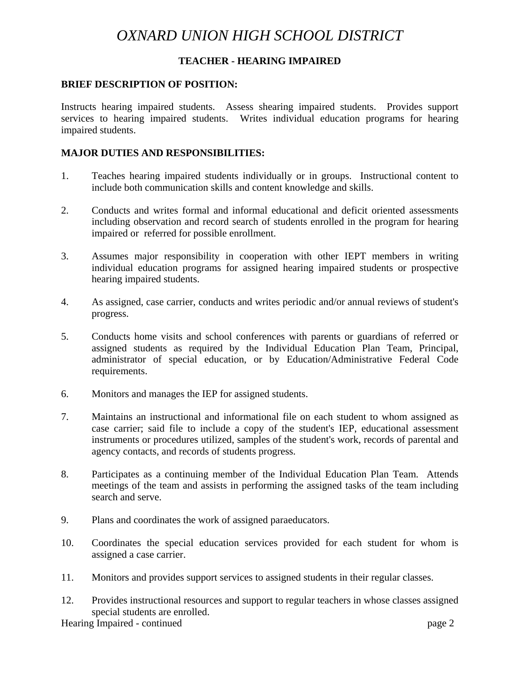# *OXNARD UNION HIGH SCHOOL DISTRICT*

## **TEACHER - HEARING IMPAIRED**

### **BRIEF DESCRIPTION OF POSITION:**

Instructs hearing impaired students. Assess shearing impaired students. Provides support services to hearing impaired students. Writes individual education programs for hearing impaired students.

#### **MAJOR DUTIES AND RESPONSIBILITIES:**

- 1. Teaches hearing impaired students individually or in groups. Instructional content to include both communication skills and content knowledge and skills.
- 2. Conducts and writes formal and informal educational and deficit oriented assessments including observation and record search of students enrolled in the program for hearing impaired or referred for possible enrollment.
- 3. Assumes major responsibility in cooperation with other IEPT members in writing individual education programs for assigned hearing impaired students or prospective hearing impaired students.
- 4. As assigned, case carrier, conducts and writes periodic and/or annual reviews of student's progress.
- 5. Conducts home visits and school conferences with parents or guardians of referred or assigned students as required by the Individual Education Plan Team, Principal, administrator of special education, or by Education/Administrative Federal Code requirements.
- 6. Monitors and manages the IEP for assigned students.
- 7. Maintains an instructional and informational file on each student to whom assigned as case carrier; said file to include a copy of the student's IEP, educational assessment instruments or procedures utilized, samples of the student's work, records of parental and agency contacts, and records of students progress.
- 8. Participates as a continuing member of the Individual Education Plan Team. Attends meetings of the team and assists in performing the assigned tasks of the team including search and serve.
- 9. Plans and coordinates the work of assigned paraeducators.
- 10. Coordinates the special education services provided for each student for whom is assigned a case carrier.
- 11. Monitors and provides support services to assigned students in their regular classes.
- 12. Provides instructional resources and support to regular teachers in whose classes assigned special students are enrolled.

Hearing Impaired - continued page 2